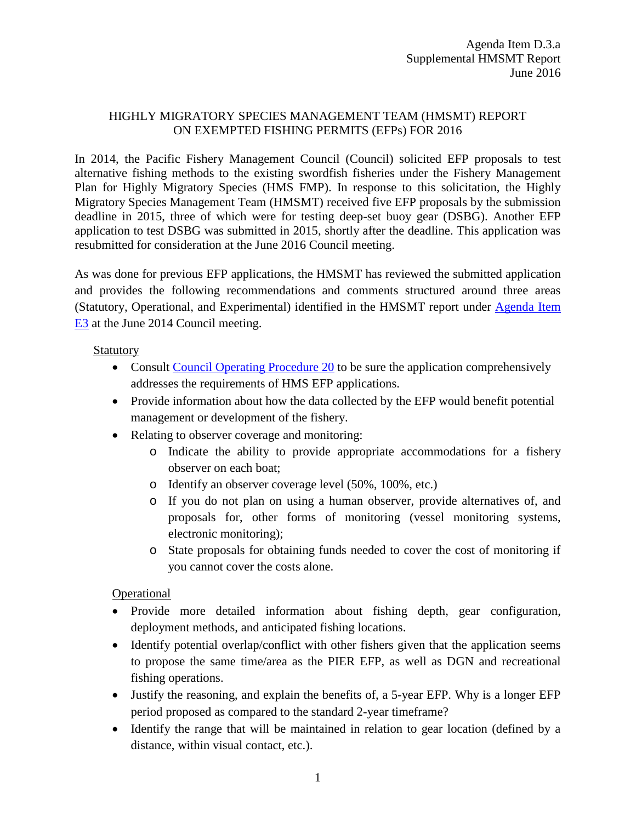## HIGHLY MIGRATORY SPECIES MANAGEMENT TEAM (HMSMT) REPORT ON EXEMPTED FISHING PERMITS (EFPs) FOR 2016

In 2014, the Pacific Fishery Management Council (Council) solicited EFP proposals to test alternative fishing methods to the existing swordfish fisheries under the Fishery Management Plan for Highly Migratory Species (HMS FMP). In response to this solicitation, the Highly Migratory Species Management Team (HMSMT) received five EFP proposals by the submission deadline in 2015, three of which were for testing deep-set buoy gear (DSBG). Another EFP application to test DSBG was submitted in 2015, shortly after the deadline. This application was resubmitted for consideration at the June 2016 Council meeting.

As was done for previous EFP applications, the HMSMT has reviewed the submitted application and provides the following recommendations and comments structured around three areas (Statutory, Operational, and Experimental) identified in the HMSMT report under [Agenda Item](http://www.pcouncil.org/wp-content/uploads/E3b_HMSMT_Rpt_JUNE2014BB.pdf)  [E3](http://www.pcouncil.org/wp-content/uploads/E3b_HMSMT_Rpt_JUNE2014BB.pdf) at the June 2014 Council meeting.

## Statutory

- Consult [Council Operating Procedure 20](http://www.pcouncil.org/wp-content/uploads/Current_COP.pdf) to be sure the application comprehensively addresses the requirements of HMS EFP applications.
- Provide information about how the data collected by the EFP would benefit potential management or development of the fishery.
- Relating to observer coverage and monitoring:
	- o Indicate the ability to provide appropriate accommodations for a fishery observer on each boat;
	- o Identify an observer coverage level (50%, 100%, etc.)
	- o If you do not plan on using a human observer, provide alternatives of, and proposals for, other forms of monitoring (vessel monitoring systems, electronic monitoring);
	- o State proposals for obtaining funds needed to cover the cost of monitoring if you cannot cover the costs alone.

**Operational** 

- Provide more detailed information about fishing depth, gear configuration, deployment methods, and anticipated fishing locations.
- Identify potential overlap/conflict with other fishers given that the application seems to propose the same time/area as the PIER EFP, as well as DGN and recreational fishing operations.
- Justify the reasoning, and explain the benefits of, a 5-year EFP. Why is a longer EFP period proposed as compared to the standard 2-year timeframe?
- Identify the range that will be maintained in relation to gear location (defined by a distance, within visual contact, etc.).